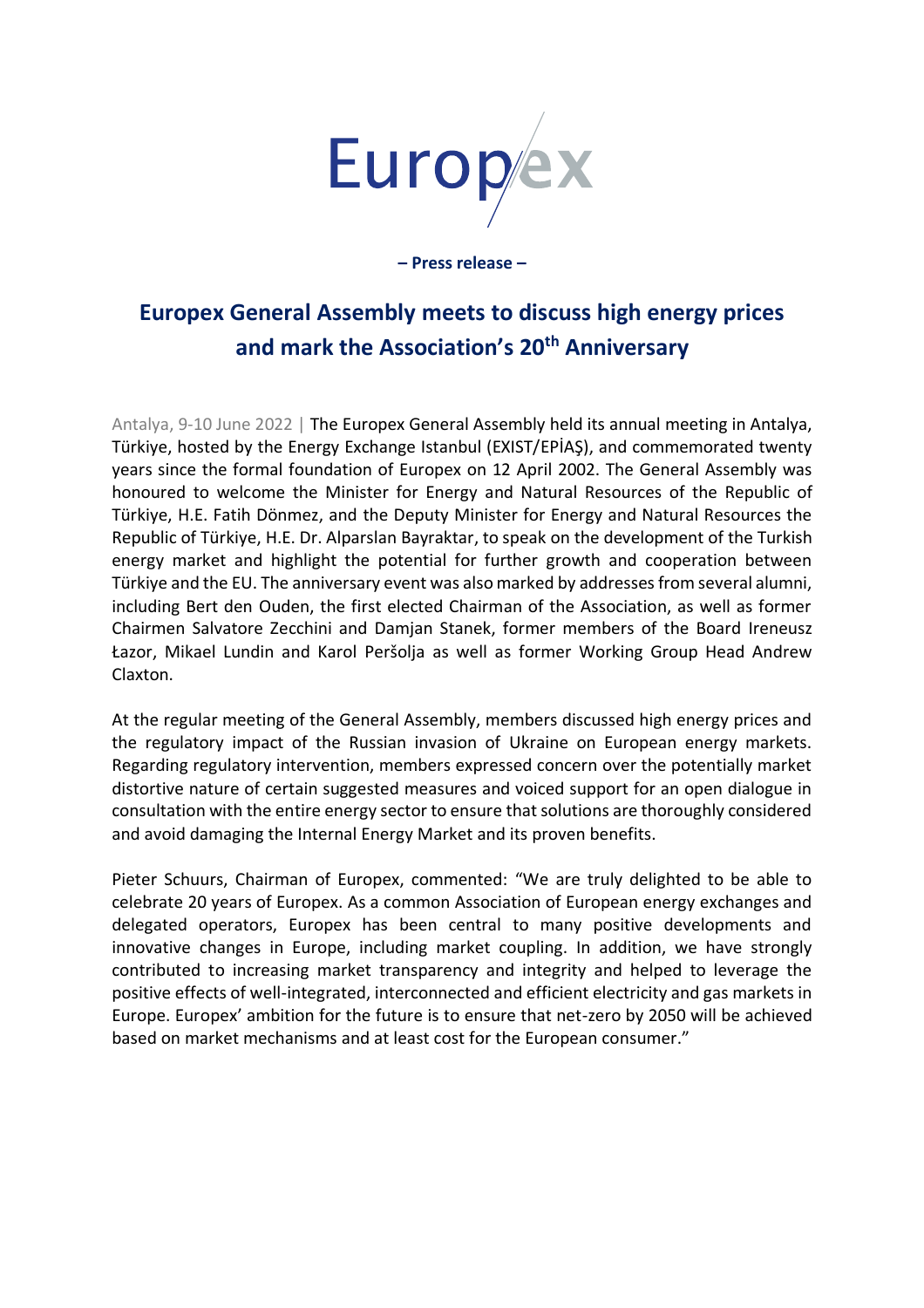

**– Press release –**

## **Europex General Assembly meets to discuss high energy prices and mark the Association's 20th Anniversary**

Antalya, 9-10 June 2022 | The Europex General Assembly held its annual meeting in Antalya, Türkiye, hosted by the Energy Exchange Istanbul (EXIST/EPİAŞ), and commemorated twenty years since the formal foundation of Europex on 12 April 2002. The General Assembly was honoured to welcome the Minister for Energy and Natural Resources of the Republic of Türkiye, H.E. Fatih Dönmez, and the Deputy Minister for Energy and Natural Resources the Republic of Türkiye, H.E. Dr. Alparslan Bayraktar, to speak on the development of the Turkish energy market and highlight the potential for further growth and cooperation between Türkiye and the EU. The anniversary event was also marked by addresses from several alumni, including Bert den Ouden, the first elected Chairman of the Association, as well as former Chairmen Salvatore Zecchini and Damjan Stanek, former members of the Board Ireneusz Łazor, Mikael Lundin and Karol Peršolja as well as former Working Group Head Andrew Claxton.

At the regular meeting of the General Assembly, members discussed high energy prices and the regulatory impact of the Russian invasion of Ukraine on European energy markets. Regarding regulatory intervention, members expressed concern over the potentially market distortive nature of certain suggested measures and voiced support for an open dialogue in consultation with the entire energy sector to ensure that solutions are thoroughly considered and avoid damaging the Internal Energy Market and its proven benefits.

Pieter Schuurs, Chairman of Europex, commented: "We are truly delighted to be able to celebrate 20 years of Europex. As a common Association of European energy exchanges and delegated operators, Europex has been central to many positive developments and innovative changes in Europe, including market coupling. In addition, we have strongly contributed to increasing market transparency and integrity and helped to leverage the positive effects of well-integrated, interconnected and efficient electricity and gas markets in Europe. Europex' ambition for the future is to ensure that net-zero by 2050 will be achieved based on market mechanisms and at least cost for the European consumer."